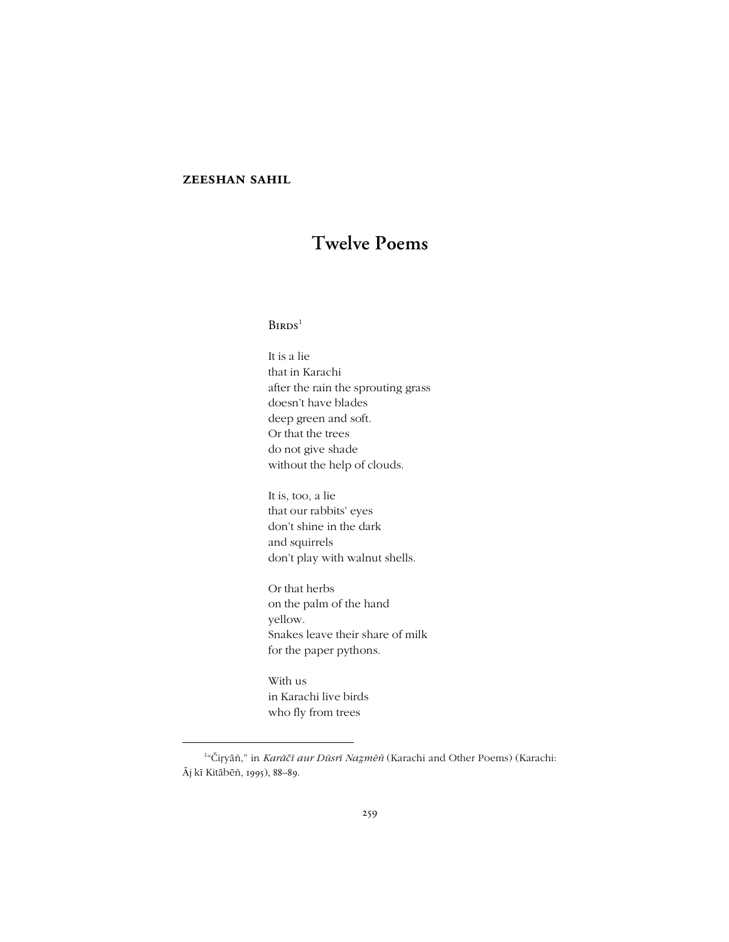## **zeeshan sahil**

# **Twelve Poems**

# $B$ irds<sup>1</sup>

It is a lie that in Karachi after the rain the sprouting grass doesn't have blades deep green and soft. Or that the trees do not give shade without the help of clouds.

It is, too, a lie that our rabbits' eyes don't shine in the dark and squirrels don't play with walnut shells.

Or that herbs on the palm of the hand yellow. Snakes leave their share of milk for the paper pythons.

With us in Karachi live birds who fly from trees

-

<sup>&</sup>lt;sup>1</sup>"Čiṛyāñ," in *Karāčī aur Dūsrī Naẓmēñ* (Karachi and Other Poems) (Karachi: Āj kī Kitābēñ, 1995), 88-89.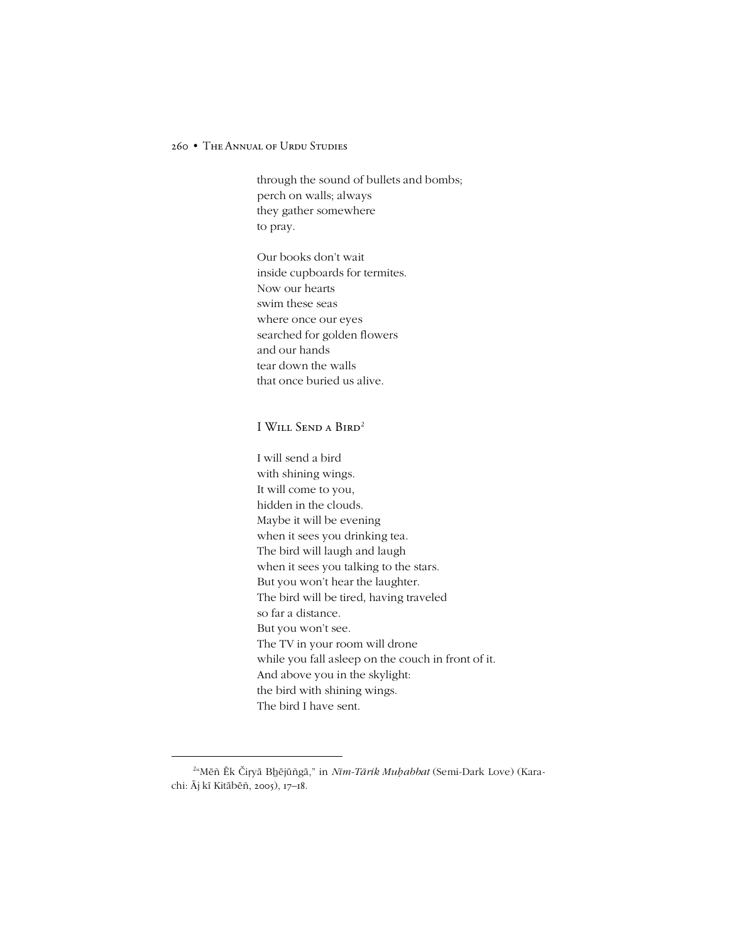through the sound of bullets and bombs; perch on walls; always they gather somewhere to pray.

Our books don't wait inside cupboards for termites. Now our hearts swim these seas where once our eyes searched for golden flowers and our hands tear down the walls that once buried us alive.

# I Will Send a Bird<sup>2</sup>

I will send a bird with shining wings. It will come to you, hidden in the clouds. Maybe it will be evening when it sees you drinking tea. The bird will laugh and laugh when it sees you talking to the stars. But you won't hear the laughter. The bird will be tired, having traveled so far a distance. But you won't see. The TV in your room will drone while you fall asleep on the couch in front of it. And above you in the skylight: the bird with shining wings. The bird I have sent.

1

<sup>2</sup> ìMēñ Ēk Čiṛyā Bẖējūñgā,î in *Nīm-Tārik Muḥabbat* (Semi-Dark Love) (Karachi: Āj kī Kitābēñ, 2005), 17-18.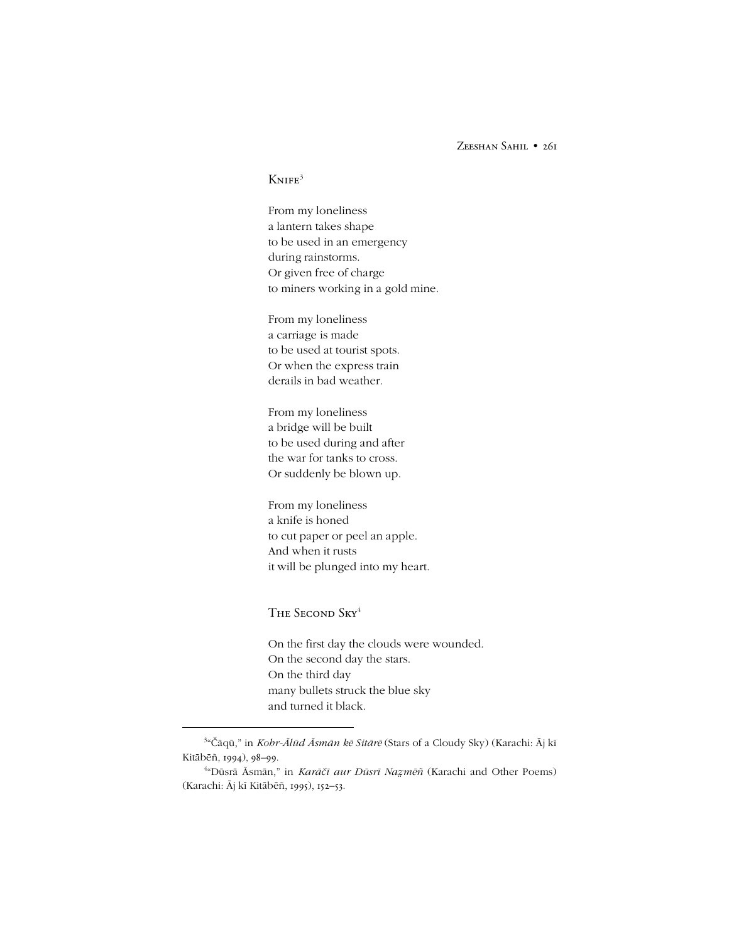Zeeshan Sahil • 261

# $K$ NIFE<sup>3</sup>

From my loneliness a lantern takes shape to be used in an emergency during rainstorms. Or given free of charge to miners working in a gold mine.

From my loneliness a carriage is made to be used at tourist spots. Or when the express train derails in bad weather.

From my loneliness a bridge will be built to be used during and after the war for tanks to cross. Or suddenly be blown up.

From my loneliness a knife is honed to cut paper or peel an apple. And when it rusts it will be plunged into my heart.

THE SECOND SKY<sup>4</sup>

-

On the first day the clouds were wounded. On the second day the stars. On the third day many bullets struck the blue sky and turned it black.

<sup>3</sup> ìČāqū,î in *Kohr-Ālūd Āsmān kē Sitārē* (Stars of a Cloudy Sky) (Karachi: Āj kī Kitābēñ, 1994), 98-99.

<sup>4</sup> ìDūsrā Āsmān,î in *Karāčī aur Dūsrī Namēñ* (Karachi and Other Poems) (Karachi: Āj kī Kitābēñ, 1995), 152-53.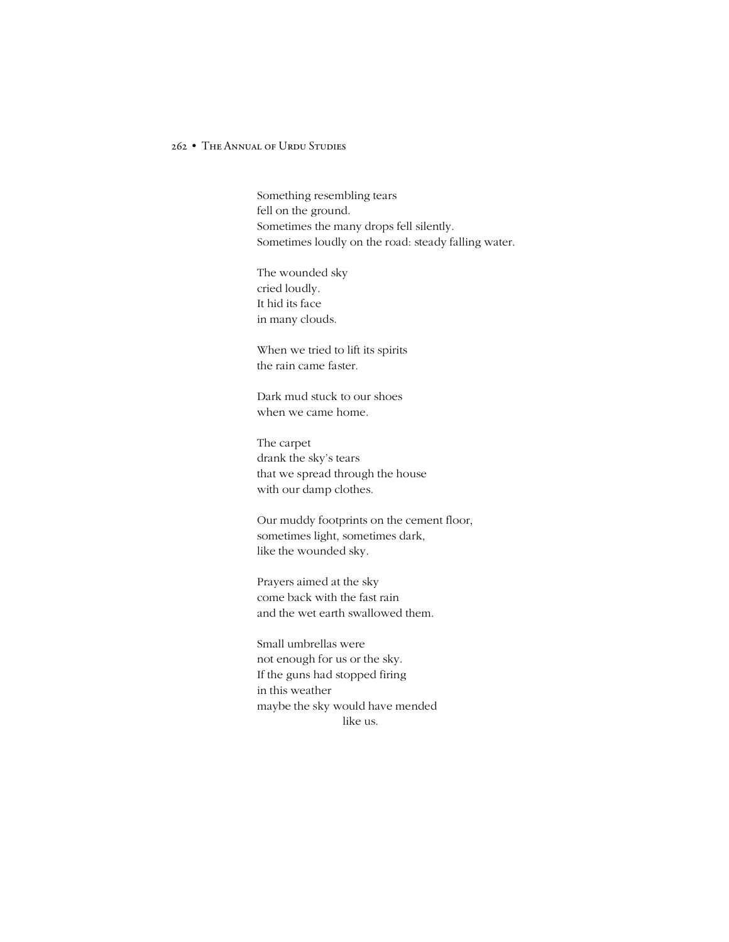Something resembling tears fell on the ground. Sometimes the many drops fell silently. Sometimes loudly on the road: steady falling water.

The wounded sky cried loudly. It hid its face in many clouds.

When we tried to lift its spirits the rain came faster.

Dark mud stuck to our shoes when we came home.

The carpet drank the sky's tears that we spread through the house with our damp clothes.

Our muddy footprints on the cement floor, sometimes light, sometimes dark, like the wounded sky.

Prayers aimed at the sky come back with the fast rain and the wet earth swallowed them.

Small umbrellas were not enough for us or the sky. If the guns had stopped firing in this weather maybe the sky would have mended like us.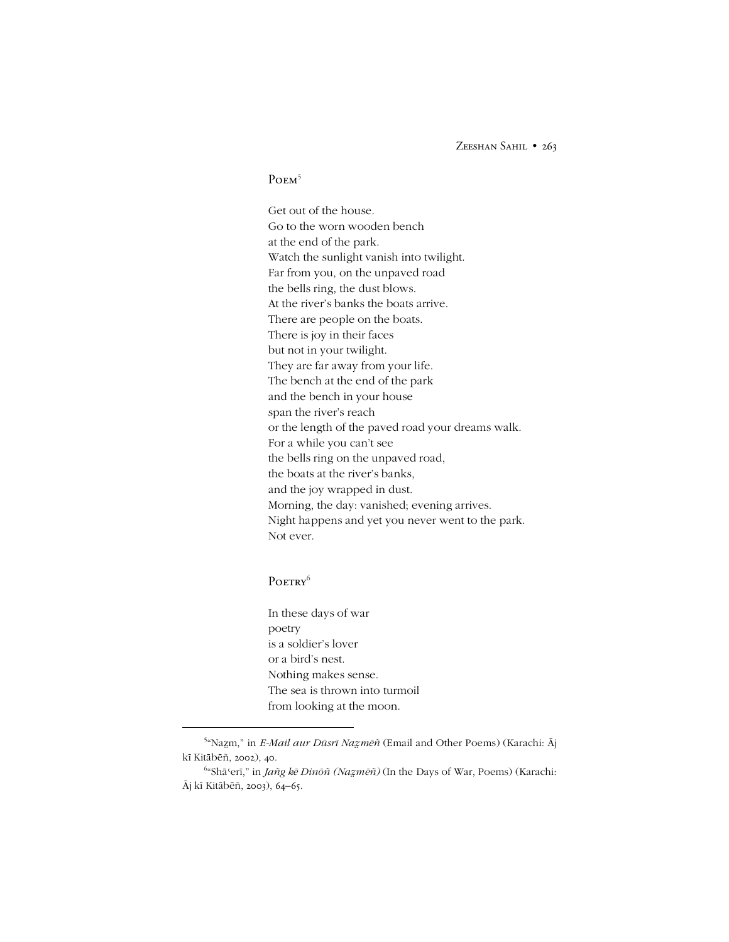ZEESHAN SAHIL • 263

# P<sub>OEM</sub><sup>5</sup>

Get out of the house. Go to the worn wooden bench at the end of the park. Watch the sunlight vanish into twilight. Far from you, on the unpaved road the bells ring, the dust blows. At the river's banks the boats arrive. There are people on the boats. There is joy in their faces but not in your twilight. They are far away from your life. The bench at the end of the park and the bench in your house span the river's reach or the length of the paved road your dreams walk. For a while you can't see the bells ring on the unpaved road, the boats at the river's banks, and the joy wrapped in dust. Morning, the day: vanished; evening arrives. Night happens and yet you never went to the park. Not ever.

# POETRY<sup>6</sup>

-

In these days of war poetry is a soldier's lover or a bird's nest. Nothing makes sense. The sea is thrown into turmoil from looking at the moon.

<sup>5</sup> ìNam,î in *E-Mail aur Dūsrī Namēñ* (Email and Other Poems) (Karachi: Āj kī Kitābēñ, 2002), 40.

<sup>6</sup> ìShāʿerī,î in *Jañg kē Dinōñ (Namēñ)* (In the Days of War, Poems) (Karachi: Āj kī Kitābēñ, 2003), 64-65.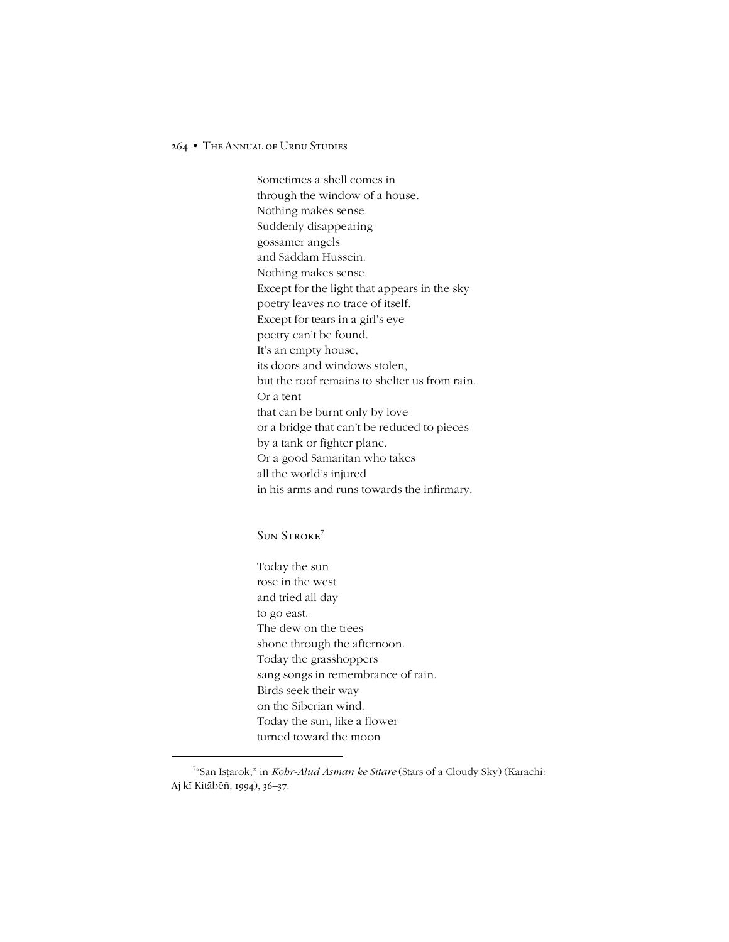Sometimes a shell comes in through the window of a house. Nothing makes sense. Suddenly disappearing gossamer angels and Saddam Hussein. Nothing makes sense. Except for the light that appears in the sky poetry leaves no trace of itself. Except for tears in a girl's eye poetry can't be found. It's an empty house, its doors and windows stolen, but the roof remains to shelter us from rain. Or a tent that can be burnt only by love or a bridge that can't be reduced to pieces by a tank or fighter plane. Or a good Samaritan who takes all the world's injured in his arms and runs towards the infirmary.

## SUN STROKE<sup>7</sup>

1

Today the sun rose in the west and tried all day to go east. The dew on the trees shone through the afternoon. Today the grasshoppers sang songs in remembrance of rain. Birds seek their way on the Siberian wind. Today the sun, like a flower turned toward the moon

<sup>&</sup>lt;sup>7</sup>"San Isṭarōk," in *Kohr-Ālūd Āsmān kē Sitārē* (Stars of a Cloudy Sky) (Karachi: Āj kī Kitābēñ, 1994), 36–37.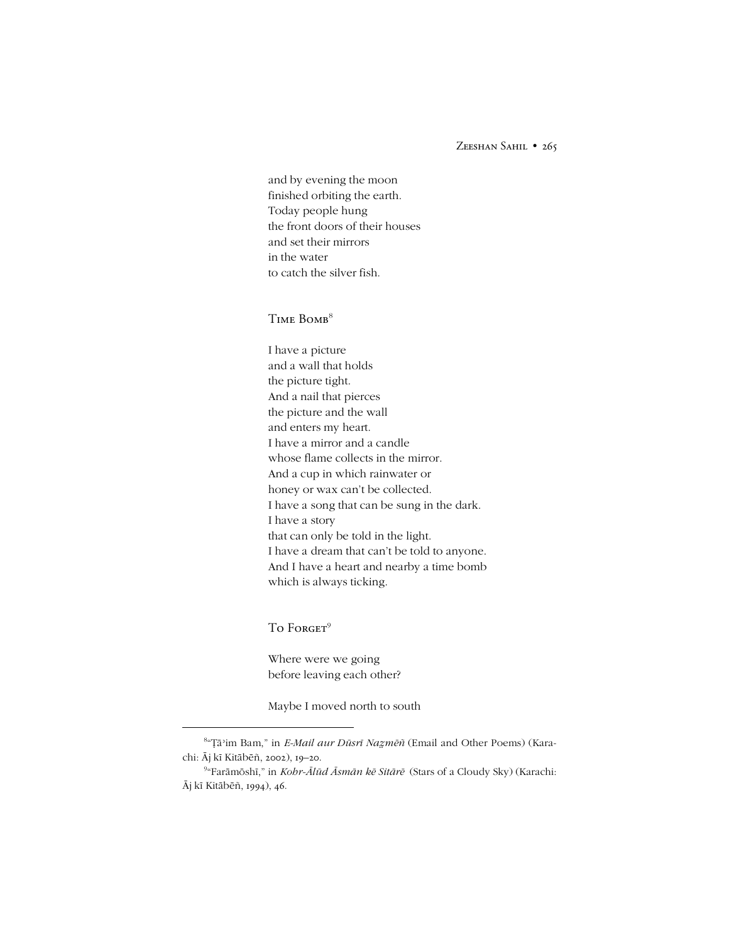ZEESHAN SAHIL • 265

and by evening the moon finished orbiting the earth. Today people hung the front doors of their houses and set their mirrors in the water to catch the silver fish.

## TIME BOMB<sup>8</sup>

I have a picture and a wall that holds the picture tight. And a nail that pierces the picture and the wall and enters my heart. I have a mirror and a candle whose flame collects in the mirror. And a cup in which rainwater or honey or wax can't be collected. I have a song that can be sung in the dark. I have a story that can only be told in the light. I have a dream that can't be told to anyone. And I have a heart and nearby a time bomb which is always ticking.

## To Forget<sup>9</sup>

-

Where were we going before leaving each other?

Maybe I moved north to south

<sup>8</sup> ìÄāʾim Bam,î in *E-Mail aur Dūsrī Namēñ* (Email and Other Poems) (Karachi: Āj kī Kitābēñ, 2002), 19-20.

<sup>9</sup> ìFarāmōshī,î in *Kohr-Ālūd Āsmān kē Sitārē* (Stars of a Cloudy Sky) (Karachi: Āj kī Kitābēñ, 1994), 46.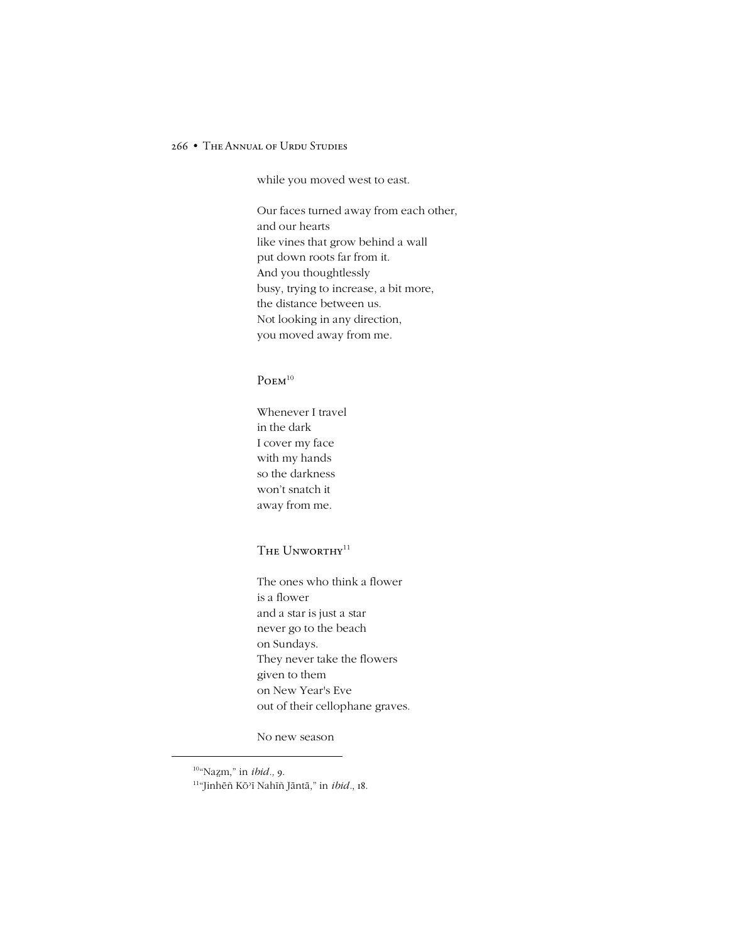while you moved west to east.

Our faces turned away from each other, and our hearts like vines that grow behind a wall put down roots far from it. And you thoughtlessly busy, trying to increase, a bit more, the distance between us. Not looking in any direction, you moved away from me.

## $P$ OEM $10$

Whenever I travel in the dark I cover my face with my hands so the darkness won't snatch it away from me.

# THE UNWORTHY<sup>11</sup>

The ones who think a flower is a flower and a star is just a star never go to the beach on Sundays. They never take the flowers given to them on New Year's Eve out of their cellophane graves.

No new season

1

<sup>&</sup>lt;sup>10</sup>"Nazm," in *ibid.*, 9.  $\rm ^{11}$ "Jinhēñ Kō'ī Nahīñ Jāntā," in *ibid.*, 18.